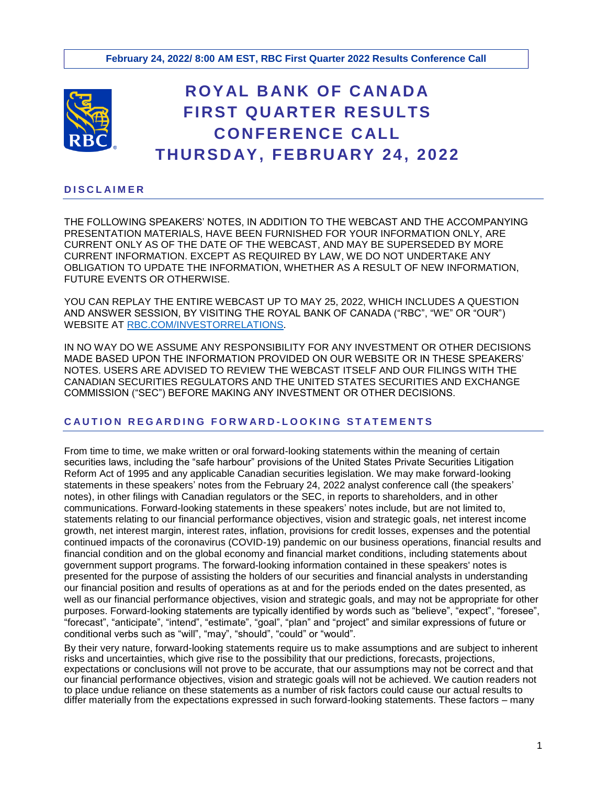

# **ROY AL B AN K OF C AN AD A FIRST QU ARTER RESULTS CONFERENCE CALL THURSD AY, FEBRU ARY 24, 2022**

## **D I S C L A I M E R**

THE FOLLOWING SPEAKERS' NOTES, IN ADDITION TO THE WEBCAST AND THE ACCOMPANYING PRESENTATION MATERIALS, HAVE BEEN FURNISHED FOR YOUR INFORMATION ONLY, ARE CURRENT ONLY AS OF THE DATE OF THE WEBCAST, AND MAY BE SUPERSEDED BY MORE CURRENT INFORMATION. EXCEPT AS REQUIRED BY LAW, WE DO NOT UNDERTAKE ANY OBLIGATION TO UPDATE THE INFORMATION, WHETHER AS A RESULT OF NEW INFORMATION, FUTURE EVENTS OR OTHERWISE.

YOU CAN REPLAY THE ENTIRE WEBCAST UP TO MAY 25, 2022, WHICH INCLUDES A QUESTION AND ANSWER SESSION, BY VISITING THE ROYAL BANK OF CANADA ("RBC", "WE" OR "OUR") WEBSITE AT [RBC.COM/INVESTORRELATIONS.](https://www.rbc.com/investor-relations/index.html)

IN NO WAY DO WE ASSUME ANY RESPONSIBILITY FOR ANY INVESTMENT OR OTHER DECISIONS MADE BASED UPON THE INFORMATION PROVIDED ON OUR WEBSITE OR IN THESE SPEAKERS' NOTES. USERS ARE ADVISED TO REVIEW THE WEBCAST ITSELF AND OUR FILINGS WITH THE CANADIAN SECURITIES REGULATORS AND THE UNITED STATES SECURITIES AND EXCHANGE COMMISSION ("SEC") BEFORE MAKING ANY INVESTMENT OR OTHER DECISIONS.

# **C A U T I O N R E G A R D I N G F O R W A R D - L O O K I N G S T A T E M E N T S**

From time to time, we make written or oral forward-looking statements within the meaning of certain securities laws, including the "safe harbour" provisions of the United States Private Securities Litigation Reform Act of 1995 and any applicable Canadian securities legislation. We may make forward-looking statements in these speakers' notes from the February 24, 2022 analyst conference call (the speakers' notes), in other filings with Canadian regulators or the SEC, in reports to shareholders, and in other communications. Forward-looking statements in these speakers' notes include, but are not limited to, statements relating to our financial performance objectives, vision and strategic goals, net interest income growth, net interest margin, interest rates, inflation, provisions for credit losses, expenses and the potential continued impacts of the coronavirus (COVID-19) pandemic on our business operations, financial results and financial condition and on the global economy and financial market conditions, including statements about government support programs. The forward-looking information contained in these speakers' notes is presented for the purpose of assisting the holders of our securities and financial analysts in understanding our financial position and results of operations as at and for the periods ended on the dates presented, as well as our financial performance objectives, vision and strategic goals, and may not be appropriate for other purposes. Forward-looking statements are typically identified by words such as "believe", "expect", "foresee", "forecast", "anticipate", "intend", "estimate", "goal", "plan" and "project" and similar expressions of future or conditional verbs such as "will", "may", "should", "could" or "would".

By their very nature, forward-looking statements require us to make assumptions and are subject to inherent risks and uncertainties, which give rise to the possibility that our predictions, forecasts, projections, expectations or conclusions will not prove to be accurate, that our assumptions may not be correct and that our financial performance objectives, vision and strategic goals will not be achieved. We caution readers not to place undue reliance on these statements as a number of risk factors could cause our actual results to differ materially from the expectations expressed in such forward-looking statements. These factors – many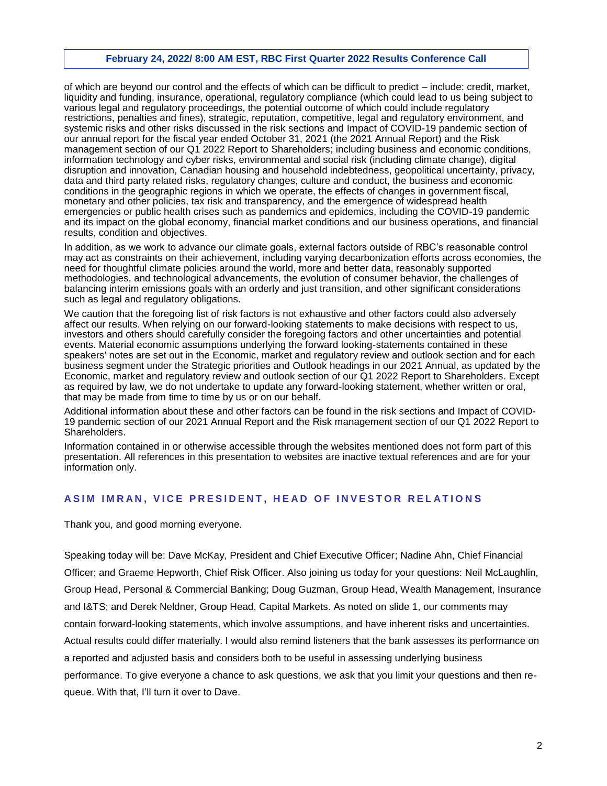of which are beyond our control and the effects of which can be difficult to predict – include: credit, market, liquidity and funding, insurance, operational, regulatory compliance (which could lead to us being subject to various legal and regulatory proceedings, the potential outcome of which could include regulatory restrictions, penalties and fines), strategic, reputation, competitive, legal and regulatory environment, and systemic risks and other risks discussed in the risk sections and Impact of COVID-19 pandemic section of our annual report for the fiscal year ended October 31, 2021 (the 2021 Annual Report) and the Risk management section of our Q1 2022 Report to Shareholders; including business and economic conditions, information technology and cyber risks, environmental and social risk (including climate change), digital disruption and innovation, Canadian housing and household indebtedness, geopolitical uncertainty, privacy, data and third party related risks, regulatory changes, culture and conduct, the business and economic conditions in the geographic regions in which we operate, the effects of changes in government fiscal, monetary and other policies, tax risk and transparency, and the emergence of widespread health emergencies or public health crises such as pandemics and epidemics, including the COVID-19 pandemic and its impact on the global economy, financial market conditions and our business operations, and financial results, condition and objectives.

In addition, as we work to advance our climate goals, external factors outside of RBC's reasonable control may act as constraints on their achievement, including varying decarbonization efforts across economies, the need for thoughtful climate policies around the world, more and better data, reasonably supported methodologies, and technological advancements, the evolution of consumer behavior, the challenges of balancing interim emissions goals with an orderly and just transition, and other significant considerations such as legal and regulatory obligations.

We caution that the foregoing list of risk factors is not exhaustive and other factors could also adversely affect our results. When relying on our forward-looking statements to make decisions with respect to us, investors and others should carefully consider the foregoing factors and other uncertainties and potential events. Material economic assumptions underlying the forward looking-statements contained in these speakers' notes are set out in the Economic, market and regulatory review and outlook section and for each business segment under the Strategic priorities and Outlook headings in our 2021 Annual, as updated by the Economic, market and regulatory review and outlook section of our Q1 2022 Report to Shareholders. Except as required by law, we do not undertake to update any forward-looking statement, whether written or oral, that may be made from time to time by us or on our behalf.

Additional information about these and other factors can be found in the risk sections and Impact of COVID-19 pandemic section of our 2021 Annual Report and the Risk management section of our Q1 2022 Report to Shareholders.

Information contained in or otherwise accessible through the websites mentioned does not form part of this presentation. All references in this presentation to websites are inactive textual references and are for your information only.

#### **ASIM IMRAN, VICE PRESIDENT, HEAD OF INVESTOR RELATIONS**

Thank you, and good morning everyone.

Speaking today will be: Dave McKay, President and Chief Executive Officer; Nadine Ahn, Chief Financial Officer; and Graeme Hepworth, Chief Risk Officer. Also joining us today for your questions: Neil McLaughlin, Group Head, Personal & Commercial Banking; Doug Guzman, Group Head, Wealth Management, Insurance and I&TS; and Derek Neldner, Group Head, Capital Markets. As noted on slide 1, our comments may contain forward-looking statements, which involve assumptions, and have inherent risks and uncertainties. Actual results could differ materially. I would also remind listeners that the bank assesses its performance on a reported and adjusted basis and considers both to be useful in assessing underlying business performance. To give everyone a chance to ask questions, we ask that you limit your questions and then requeue. With that, I'll turn it over to Dave.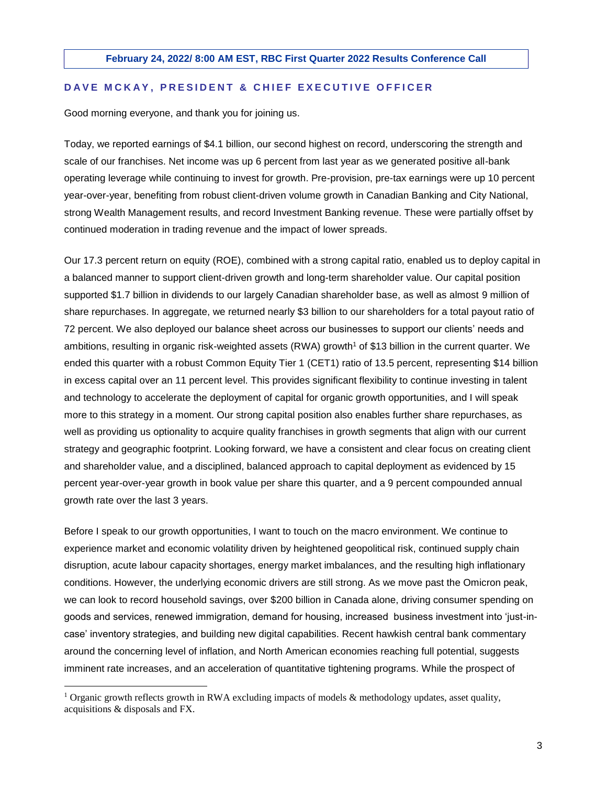### **D A V E M C K A Y , P R E S I D E N T & C H I E F E X E C U T I V E O F F I C E R**

Good morning everyone, and thank you for joining us.

Today, we reported earnings of \$4.1 billion, our second highest on record, underscoring the strength and scale of our franchises. Net income was up 6 percent from last year as we generated positive all-bank operating leverage while continuing to invest for growth. Pre-provision, pre-tax earnings were up 10 percent year-over-year, benefiting from robust client-driven volume growth in Canadian Banking and City National, strong Wealth Management results, and record Investment Banking revenue. These were partially offset by continued moderation in trading revenue and the impact of lower spreads.

Our 17.3 percent return on equity (ROE), combined with a strong capital ratio, enabled us to deploy capital in a balanced manner to support client-driven growth and long-term shareholder value. Our capital position supported \$1.7 billion in dividends to our largely Canadian shareholder base, as well as almost 9 million of share repurchases. In aggregate, we returned nearly \$3 billion to our shareholders for a total payout ratio of 72 percent. We also deployed our balance sheet across our businesses to support our clients' needs and ambitions, resulting in organic risk-weighted assets (RWA) growth<sup>1</sup> of \$13 billion in the current quarter. We ended this quarter with a robust Common Equity Tier 1 (CET1) ratio of 13.5 percent, representing \$14 billion in excess capital over an 11 percent level. This provides significant flexibility to continue investing in talent and technology to accelerate the deployment of capital for organic growth opportunities, and I will speak more to this strategy in a moment. Our strong capital position also enables further share repurchases, as well as providing us optionality to acquire quality franchises in growth segments that align with our current strategy and geographic footprint. Looking forward, we have a consistent and clear focus on creating client and shareholder value, and a disciplined, balanced approach to capital deployment as evidenced by 15 percent year-over-year growth in book value per share this quarter, and a 9 percent compounded annual growth rate over the last 3 years.

Before I speak to our growth opportunities, I want to touch on the macro environment. We continue to experience market and economic volatility driven by heightened geopolitical risk, continued supply chain disruption, acute labour capacity shortages, energy market imbalances, and the resulting high inflationary conditions. However, the underlying economic drivers are still strong. As we move past the Omicron peak, we can look to record household savings, over \$200 billion in Canada alone, driving consumer spending on goods and services, renewed immigration, demand for housing, increased business investment into 'just-incase' inventory strategies, and building new digital capabilities. Recent hawkish central bank commentary around the concerning level of inflation, and North American economies reaching full potential, suggests imminent rate increases, and an acceleration of quantitative tightening programs. While the prospect of

<sup>&</sup>lt;sup>1</sup> Organic growth reflects growth in RWA excluding impacts of models & methodology updates, asset quality, acquisitions & disposals and FX.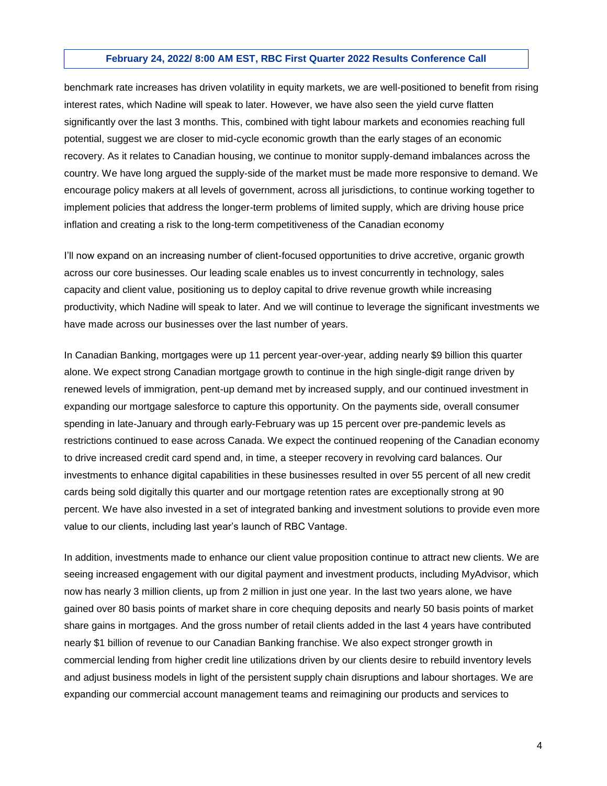benchmark rate increases has driven volatility in equity markets, we are well-positioned to benefit from rising interest rates, which Nadine will speak to later. However, we have also seen the yield curve flatten significantly over the last 3 months. This, combined with tight labour markets and economies reaching full potential, suggest we are closer to mid-cycle economic growth than the early stages of an economic recovery. As it relates to Canadian housing, we continue to monitor supply-demand imbalances across the country. We have long argued the supply-side of the market must be made more responsive to demand. We encourage policy makers at all levels of government, across all jurisdictions, to continue working together to implement policies that address the longer-term problems of limited supply, which are driving house price inflation and creating a risk to the long-term competitiveness of the Canadian economy

I'll now expand on an increasing number of client-focused opportunities to drive accretive, organic growth across our core businesses. Our leading scale enables us to invest concurrently in technology, sales capacity and client value, positioning us to deploy capital to drive revenue growth while increasing productivity, which Nadine will speak to later. And we will continue to leverage the significant investments we have made across our businesses over the last number of years.

In Canadian Banking, mortgages were up 11 percent year-over-year, adding nearly \$9 billion this quarter alone. We expect strong Canadian mortgage growth to continue in the high single-digit range driven by renewed levels of immigration, pent-up demand met by increased supply, and our continued investment in expanding our mortgage salesforce to capture this opportunity. On the payments side, overall consumer spending in late-January and through early-February was up 15 percent over pre-pandemic levels as restrictions continued to ease across Canada. We expect the continued reopening of the Canadian economy to drive increased credit card spend and, in time, a steeper recovery in revolving card balances. Our investments to enhance digital capabilities in these businesses resulted in over 55 percent of all new credit cards being sold digitally this quarter and our mortgage retention rates are exceptionally strong at 90 percent. We have also invested in a set of integrated banking and investment solutions to provide even more value to our clients, including last year's launch of RBC Vantage.

In addition, investments made to enhance our client value proposition continue to attract new clients. We are seeing increased engagement with our digital payment and investment products, including MyAdvisor, which now has nearly 3 million clients, up from 2 million in just one year. In the last two years alone, we have gained over 80 basis points of market share in core chequing deposits and nearly 50 basis points of market share gains in mortgages. And the gross number of retail clients added in the last 4 years have contributed nearly \$1 billion of revenue to our Canadian Banking franchise. We also expect stronger growth in commercial lending from higher credit line utilizations driven by our clients desire to rebuild inventory levels and adjust business models in light of the persistent supply chain disruptions and labour shortages. We are expanding our commercial account management teams and reimagining our products and services to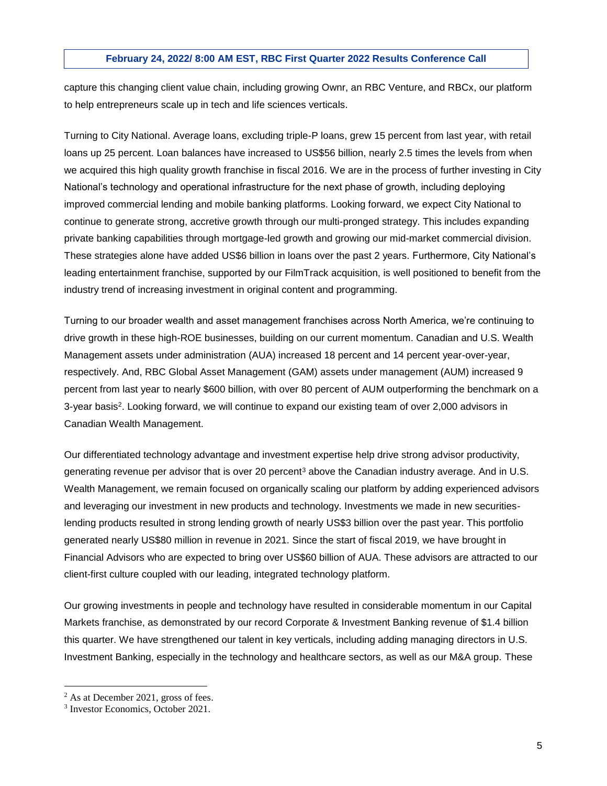capture this changing client value chain, including growing Ownr, an RBC Venture, and RBCx, our platform to help entrepreneurs scale up in tech and life sciences verticals.

Turning to City National. Average loans, excluding triple-P loans, grew 15 percent from last year, with retail loans up 25 percent. Loan balances have increased to US\$56 billion, nearly 2.5 times the levels from when we acquired this high quality growth franchise in fiscal 2016. We are in the process of further investing in City National's technology and operational infrastructure for the next phase of growth, including deploying improved commercial lending and mobile banking platforms. Looking forward, we expect City National to continue to generate strong, accretive growth through our multi-pronged strategy. This includes expanding private banking capabilities through mortgage-led growth and growing our mid-market commercial division. These strategies alone have added US\$6 billion in loans over the past 2 years. Furthermore, City National's leading entertainment franchise, supported by our FilmTrack acquisition, is well positioned to benefit from the industry trend of increasing investment in original content and programming.

Turning to our broader wealth and asset management franchises across North America, we're continuing to drive growth in these high-ROE businesses, building on our current momentum. Canadian and U.S. Wealth Management assets under administration (AUA) increased 18 percent and 14 percent year-over-year, respectively. And, RBC Global Asset Management (GAM) assets under management (AUM) increased 9 percent from last year to nearly \$600 billion, with over 80 percent of AUM outperforming the benchmark on a 3-year basis<sup>2</sup>. Looking forward, we will continue to expand our existing team of over 2,000 advisors in Canadian Wealth Management.

Our differentiated technology advantage and investment expertise help drive strong advisor productivity, generating revenue per advisor that is over 20 percent<sup>3</sup> above the Canadian industry average. And in U.S. Wealth Management, we remain focused on organically scaling our platform by adding experienced advisors and leveraging our investment in new products and technology. Investments we made in new securitieslending products resulted in strong lending growth of nearly US\$3 billion over the past year. This portfolio generated nearly US\$80 million in revenue in 2021. Since the start of fiscal 2019, we have brought in Financial Advisors who are expected to bring over US\$60 billion of AUA. These advisors are attracted to our client-first culture coupled with our leading, integrated technology platform.

Our growing investments in people and technology have resulted in considerable momentum in our Capital Markets franchise, as demonstrated by our record Corporate & Investment Banking revenue of \$1.4 billion this quarter. We have strengthened our talent in key verticals, including adding managing directors in U.S. Investment Banking, especially in the technology and healthcare sectors, as well as our M&A group. These

 $2$  As at December 2021, gross of fees.

<sup>3</sup> Investor Economics, October 2021.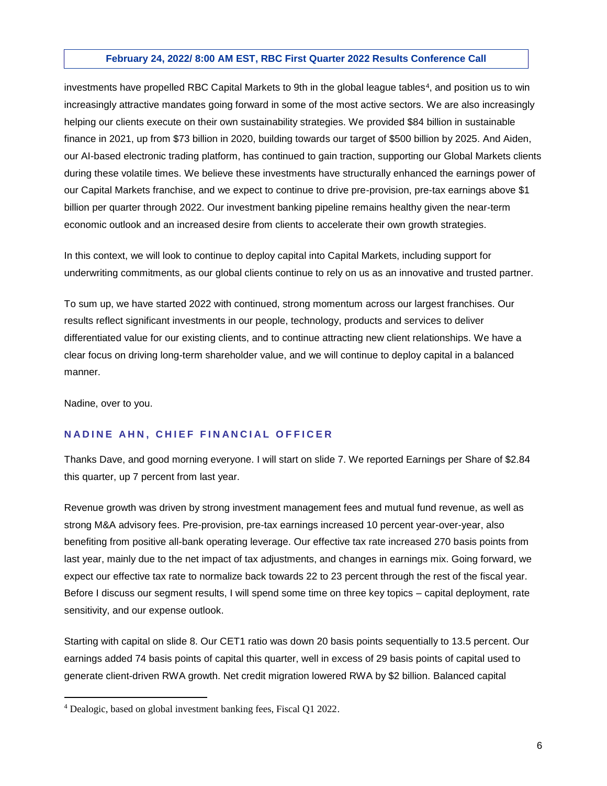investments have propelled RBC Capital Markets to 9th in the global league tables<sup>4</sup>, and position us to win increasingly attractive mandates going forward in some of the most active sectors. We are also increasingly helping our clients execute on their own sustainability strategies. We provided \$84 billion in sustainable finance in 2021, up from \$73 billion in 2020, building towards our target of \$500 billion by 2025. And Aiden, our AI-based electronic trading platform, has continued to gain traction, supporting our Global Markets clients during these volatile times. We believe these investments have structurally enhanced the earnings power of our Capital Markets franchise, and we expect to continue to drive pre-provision, pre-tax earnings above \$1 billion per quarter through 2022. Our investment banking pipeline remains healthy given the near-term economic outlook and an increased desire from clients to accelerate their own growth strategies.

In this context, we will look to continue to deploy capital into Capital Markets, including support for underwriting commitments, as our global clients continue to rely on us as an innovative and trusted partner.

To sum up, we have started 2022 with continued, strong momentum across our largest franchises. Our results reflect significant investments in our people, technology, products and services to deliver differentiated value for our existing clients, and to continue attracting new client relationships. We have a clear focus on driving long-term shareholder value, and we will continue to deploy capital in a balanced manner.

Nadine, over to you.

 $\overline{a}$ 

# **NADINE AHN, CHIEF FINANCIAL OFFICER**

Thanks Dave, and good morning everyone. I will start on slide 7. We reported Earnings per Share of \$2.84 this quarter, up 7 percent from last year.

Revenue growth was driven by strong investment management fees and mutual fund revenue, as well as strong M&A advisory fees. Pre-provision, pre-tax earnings increased 10 percent year-over-year, also benefiting from positive all-bank operating leverage. Our effective tax rate increased 270 basis points from last year, mainly due to the net impact of tax adjustments, and changes in earnings mix. Going forward, we expect our effective tax rate to normalize back towards 22 to 23 percent through the rest of the fiscal year. Before I discuss our segment results, I will spend some time on three key topics – capital deployment, rate sensitivity, and our expense outlook.

Starting with capital on slide 8. Our CET1 ratio was down 20 basis points sequentially to 13.5 percent. Our earnings added 74 basis points of capital this quarter, well in excess of 29 basis points of capital used to generate client-driven RWA growth. Net credit migration lowered RWA by \$2 billion. Balanced capital

<sup>4</sup> Dealogic, based on global investment banking fees, Fiscal Q1 2022.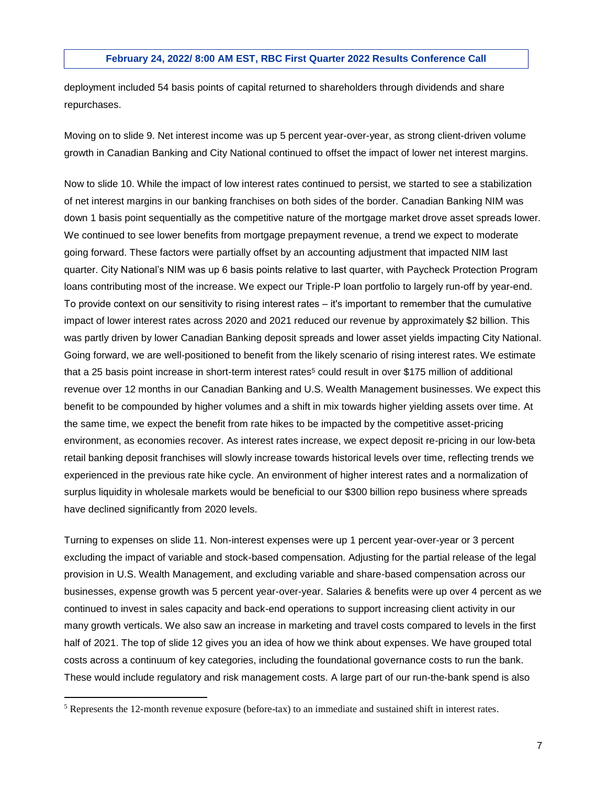deployment included 54 basis points of capital returned to shareholders through dividends and share repurchases.

Moving on to slide 9. Net interest income was up 5 percent year-over-year, as strong client-driven volume growth in Canadian Banking and City National continued to offset the impact of lower net interest margins.

Now to slide 10. While the impact of low interest rates continued to persist, we started to see a stabilization of net interest margins in our banking franchises on both sides of the border. Canadian Banking NIM was down 1 basis point sequentially as the competitive nature of the mortgage market drove asset spreads lower. We continued to see lower benefits from mortgage prepayment revenue, a trend we expect to moderate going forward. These factors were partially offset by an accounting adjustment that impacted NIM last quarter. City National's NIM was up 6 basis points relative to last quarter, with Paycheck Protection Program loans contributing most of the increase. We expect our Triple-P loan portfolio to largely run-off by year-end. To provide context on our sensitivity to rising interest rates ‒ it's important to remember that the cumulative impact of lower interest rates across 2020 and 2021 reduced our revenue by approximately \$2 billion. This was partly driven by lower Canadian Banking deposit spreads and lower asset yields impacting City National. Going forward, we are well-positioned to benefit from the likely scenario of rising interest rates. We estimate that a 25 basis point increase in short-term interest rates<sup>5</sup> could result in over \$175 million of additional revenue over 12 months in our Canadian Banking and U.S. Wealth Management businesses. We expect this benefit to be compounded by higher volumes and a shift in mix towards higher yielding assets over time. At the same time, we expect the benefit from rate hikes to be impacted by the competitive asset-pricing environment, as economies recover. As interest rates increase, we expect deposit re-pricing in our low-beta retail banking deposit franchises will slowly increase towards historical levels over time, reflecting trends we experienced in the previous rate hike cycle. An environment of higher interest rates and a normalization of surplus liquidity in wholesale markets would be beneficial to our \$300 billion repo business where spreads have declined significantly from 2020 levels.

Turning to expenses on slide 11. Non-interest expenses were up 1 percent year-over-year or 3 percent excluding the impact of variable and stock-based compensation. Adjusting for the partial release of the legal provision in U.S. Wealth Management, and excluding variable and share-based compensation across our businesses, expense growth was 5 percent year-over-year. Salaries & benefits were up over 4 percent as we continued to invest in sales capacity and back-end operations to support increasing client activity in our many growth verticals. We also saw an increase in marketing and travel costs compared to levels in the first half of 2021. The top of slide 12 gives you an idea of how we think about expenses. We have grouped total costs across a continuum of key categories, including the foundational governance costs to run the bank. These would include regulatory and risk management costs. A large part of our run-the-bank spend is also

<sup>5</sup> Represents the 12-month revenue exposure (before-tax) to an immediate and sustained shift in interest rates.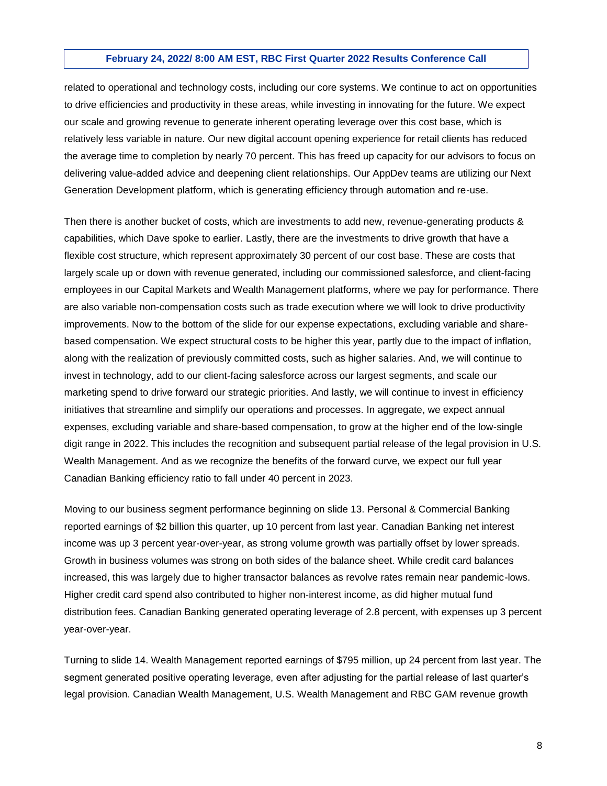related to operational and technology costs, including our core systems. We continue to act on opportunities to drive efficiencies and productivity in these areas, while investing in innovating for the future. We expect our scale and growing revenue to generate inherent operating leverage over this cost base, which is relatively less variable in nature. Our new digital account opening experience for retail clients has reduced the average time to completion by nearly 70 percent. This has freed up capacity for our advisors to focus on delivering value-added advice and deepening client relationships. Our AppDev teams are utilizing our Next Generation Development platform, which is generating efficiency through automation and re-use.

Then there is another bucket of costs, which are investments to add new, revenue-generating products & capabilities, which Dave spoke to earlier. Lastly, there are the investments to drive growth that have a flexible cost structure, which represent approximately 30 percent of our cost base. These are costs that largely scale up or down with revenue generated, including our commissioned salesforce, and client-facing employees in our Capital Markets and Wealth Management platforms, where we pay for performance. There are also variable non-compensation costs such as trade execution where we will look to drive productivity improvements. Now to the bottom of the slide for our expense expectations, excluding variable and sharebased compensation. We expect structural costs to be higher this year, partly due to the impact of inflation, along with the realization of previously committed costs, such as higher salaries. And, we will continue to invest in technology, add to our client-facing salesforce across our largest segments, and scale our marketing spend to drive forward our strategic priorities. And lastly, we will continue to invest in efficiency initiatives that streamline and simplify our operations and processes. In aggregate, we expect annual expenses, excluding variable and share-based compensation, to grow at the higher end of the low-single digit range in 2022. This includes the recognition and subsequent partial release of the legal provision in U.S. Wealth Management. And as we recognize the benefits of the forward curve, we expect our full year Canadian Banking efficiency ratio to fall under 40 percent in 2023.

Moving to our business segment performance beginning on slide 13. Personal & Commercial Banking reported earnings of \$2 billion this quarter, up 10 percent from last year. Canadian Banking net interest income was up 3 percent year-over-year, as strong volume growth was partially offset by lower spreads. Growth in business volumes was strong on both sides of the balance sheet. While credit card balances increased, this was largely due to higher transactor balances as revolve rates remain near pandemic-lows. Higher credit card spend also contributed to higher non-interest income, as did higher mutual fund distribution fees. Canadian Banking generated operating leverage of 2.8 percent, with expenses up 3 percent year-over-year.

Turning to slide 14. Wealth Management reported earnings of \$795 million, up 24 percent from last year. The segment generated positive operating leverage, even after adjusting for the partial release of last quarter's legal provision. Canadian Wealth Management, U.S. Wealth Management and RBC GAM revenue growth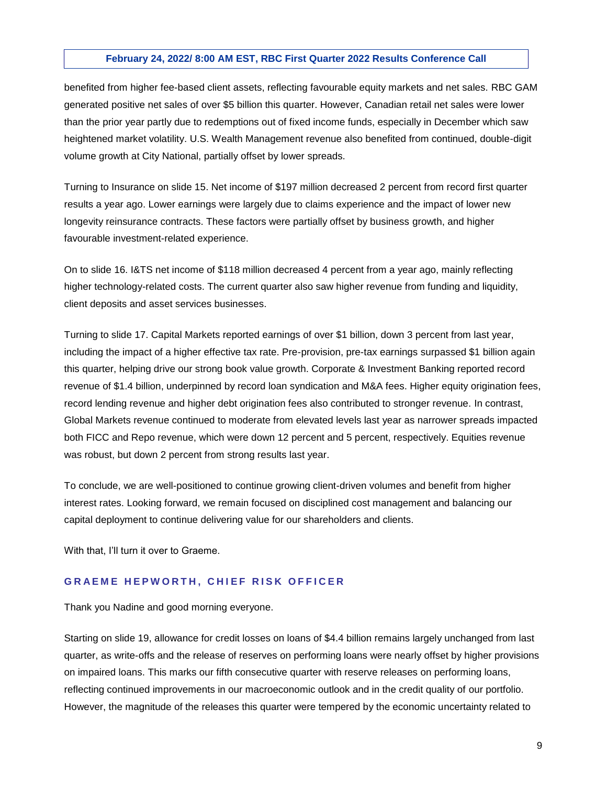benefited from higher fee-based client assets, reflecting favourable equity markets and net sales. RBC GAM generated positive net sales of over \$5 billion this quarter. However, Canadian retail net sales were lower than the prior year partly due to redemptions out of fixed income funds, especially in December which saw heightened market volatility. U.S. Wealth Management revenue also benefited from continued, double-digit volume growth at City National, partially offset by lower spreads.

Turning to Insurance on slide 15. Net income of \$197 million decreased 2 percent from record first quarter results a year ago. Lower earnings were largely due to claims experience and the impact of lower new longevity reinsurance contracts. These factors were partially offset by business growth, and higher favourable investment-related experience.

On to slide 16. I&TS net income of \$118 million decreased 4 percent from a year ago, mainly reflecting higher technology-related costs. The current quarter also saw higher revenue from funding and liquidity, client deposits and asset services businesses.

Turning to slide 17. Capital Markets reported earnings of over \$1 billion, down 3 percent from last year, including the impact of a higher effective tax rate. Pre-provision, pre-tax earnings surpassed \$1 billion again this quarter, helping drive our strong book value growth. Corporate & Investment Banking reported record revenue of \$1.4 billion, underpinned by record loan syndication and M&A fees. Higher equity origination fees, record lending revenue and higher debt origination fees also contributed to stronger revenue. In contrast, Global Markets revenue continued to moderate from elevated levels last year as narrower spreads impacted both FICC and Repo revenue, which were down 12 percent and 5 percent, respectively. Equities revenue was robust, but down 2 percent from strong results last year.

To conclude, we are well-positioned to continue growing client-driven volumes and benefit from higher interest rates. Looking forward, we remain focused on disciplined cost management and balancing our capital deployment to continue delivering value for our shareholders and clients.

With that, I'll turn it over to Graeme.

# **GRAEME HEPWORTH, CHIEF RISK OFFICER**

Thank you Nadine and good morning everyone.

Starting on slide 19, allowance for credit losses on loans of \$4.4 billion remains largely unchanged from last quarter, as write-offs and the release of reserves on performing loans were nearly offset by higher provisions on impaired loans. This marks our fifth consecutive quarter with reserve releases on performing loans, reflecting continued improvements in our macroeconomic outlook and in the credit quality of our portfolio. However, the magnitude of the releases this quarter were tempered by the economic uncertainty related to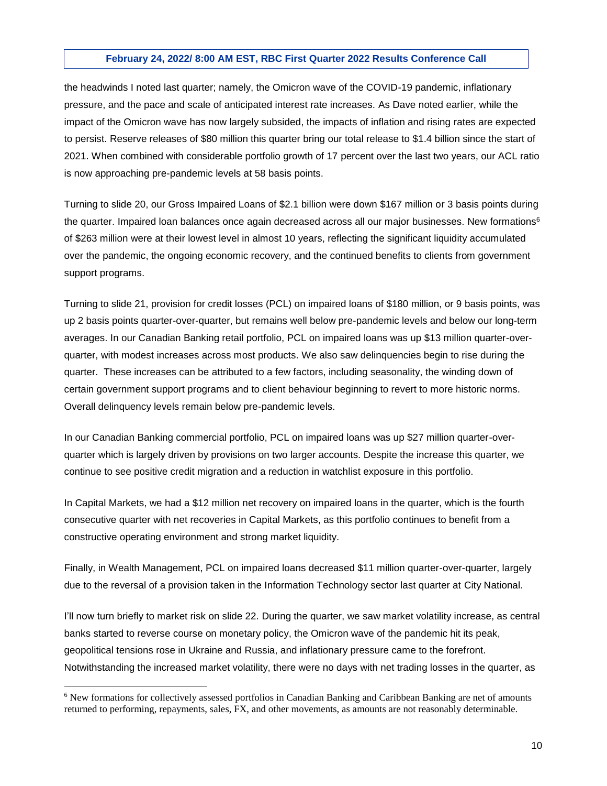the headwinds I noted last quarter; namely, the Omicron wave of the COVID-19 pandemic, inflationary pressure, and the pace and scale of anticipated interest rate increases. As Dave noted earlier, while the impact of the Omicron wave has now largely subsided, the impacts of inflation and rising rates are expected to persist. Reserve releases of \$80 million this quarter bring our total release to \$1.4 billion since the start of 2021. When combined with considerable portfolio growth of 17 percent over the last two years, our ACL ratio is now approaching pre-pandemic levels at 58 basis points.

Turning to slide 20, our Gross Impaired Loans of \$2.1 billion were down \$167 million or 3 basis points during the quarter. Impaired loan balances once again decreased across all our major businesses. New formations<sup>6</sup> of \$263 million were at their lowest level in almost 10 years, reflecting the significant liquidity accumulated over the pandemic, the ongoing economic recovery, and the continued benefits to clients from government support programs.

Turning to slide 21, provision for credit losses (PCL) on impaired loans of \$180 million, or 9 basis points, was up 2 basis points quarter-over-quarter, but remains well below pre-pandemic levels and below our long-term averages. In our Canadian Banking retail portfolio, PCL on impaired loans was up \$13 million quarter-overquarter, with modest increases across most products. We also saw delinquencies begin to rise during the quarter. These increases can be attributed to a few factors, including seasonality, the winding down of certain government support programs and to client behaviour beginning to revert to more historic norms. Overall delinquency levels remain below pre-pandemic levels.

In our Canadian Banking commercial portfolio, PCL on impaired loans was up \$27 million quarter-overquarter which is largely driven by provisions on two larger accounts. Despite the increase this quarter, we continue to see positive credit migration and a reduction in watchlist exposure in this portfolio.

In Capital Markets, we had a \$12 million net recovery on impaired loans in the quarter, which is the fourth consecutive quarter with net recoveries in Capital Markets, as this portfolio continues to benefit from a constructive operating environment and strong market liquidity.

Finally, in Wealth Management, PCL on impaired loans decreased \$11 million quarter-over-quarter, largely due to the reversal of a provision taken in the Information Technology sector last quarter at City National.

I'll now turn briefly to market risk on slide 22. During the quarter, we saw market volatility increase, as central banks started to reverse course on monetary policy, the Omicron wave of the pandemic hit its peak, geopolitical tensions rose in Ukraine and Russia, and inflationary pressure came to the forefront. Notwithstanding the increased market volatility, there were no days with net trading losses in the quarter, as

<sup>6</sup> New formations for collectively assessed portfolios in Canadian Banking and Caribbean Banking are net of amounts returned to performing, repayments, sales, FX, and other movements, as amounts are not reasonably determinable.